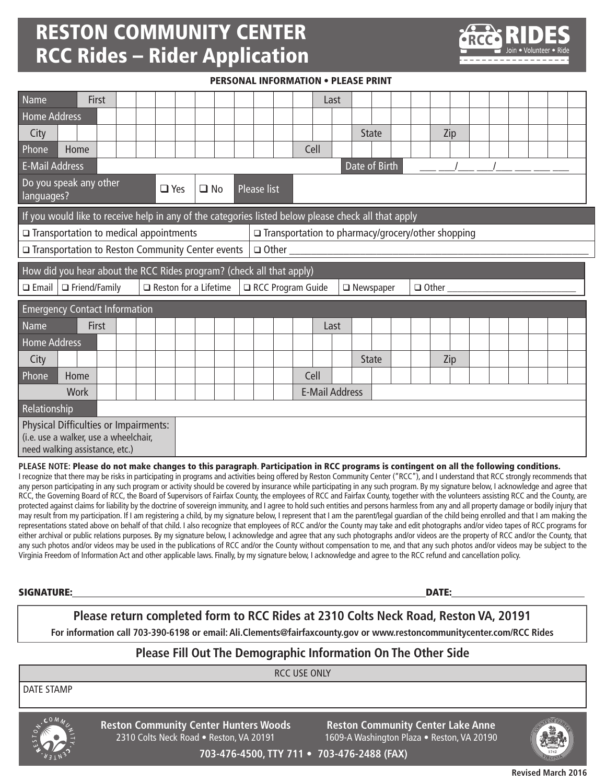## RESTON COMMUNITY CENTER RCC Rides – Rider Application



PERSONAL INFORMATION • PLEASE PRINT

| Name<br>First                                                                                                |                              | Last                  |                  |                     |  |
|--------------------------------------------------------------------------------------------------------------|------------------------------|-----------------------|------------------|---------------------|--|
| <b>Home Address</b>                                                                                          |                              |                       |                  |                     |  |
| City                                                                                                         |                              |                       | <b>State</b>     | Zip                 |  |
| Phone<br>Home                                                                                                |                              | Cell                  |                  |                     |  |
| <b>E-Mail Address</b><br>Date of Birth                                                                       |                              |                       |                  |                     |  |
| Do you speak any other<br>languages?                                                                         | $\Box$ Yes<br>$\Box$ No      | Please list           |                  |                     |  |
| If you would like to receive help in any of the categories listed below please check all that apply          |                              |                       |                  |                     |  |
| $\square$ Transportation to medical appointments<br>$\Box$ Transportation to pharmacy/grocery/other shopping |                              |                       |                  |                     |  |
| □ Transportation to Reston Community Center events<br>$\Box$ Other $\Box$                                    |                              |                       |                  |                     |  |
| How did you hear about the RCC Rides program? (check all that apply)                                         |                              |                       |                  |                     |  |
| $\Box$ Friend/Family<br>$\square$ Email                                                                      | $\Box$ Reston for a Lifetime | RCC Program Guide     | $\Box$ Newspaper | $\Box$ Other $\Box$ |  |
| <b>Emergency Contact Information</b>                                                                         |                              |                       |                  |                     |  |
| Name<br><b>First</b>                                                                                         |                              | Last                  |                  |                     |  |
| <b>Home Address</b>                                                                                          |                              |                       |                  |                     |  |
|                                                                                                              |                              |                       |                  |                     |  |
| City                                                                                                         |                              |                       | <b>State</b>     | Zip                 |  |
| Home                                                                                                         |                              | Cell                  |                  |                     |  |
| <b>Work</b>                                                                                                  |                              | <b>E-Mail Address</b> |                  |                     |  |
| Relationship                                                                                                 |                              |                       |                  |                     |  |
| <b>Physical Difficulties or Impairments:</b>                                                                 |                              |                       |                  |                     |  |
| Phone<br>(i.e. use a walker, use a wheelchair,<br>need walking assistance, etc.)                             |                              |                       |                  |                     |  |

I recognize that there may be risks in participating in programs and activities being offered by Reston Community Center ("RCC"), and I understand that RCC strongly recommends that any person participating in any such program or activity should be covered by insurance while participating in any such program. By my signature below, I acknowledge and agree that RCC, the Governing Board of RCC, the Board of Supervisors of Fairfax County, the employees of RCC and Fairfax County, together with the volunteers assisting RCC and the County, are protected against claims for liability by the doctrine of sovereign immunity, and I agree to hold such entities and persons harmless from any and all property damage or bodily injury that may result from my participation. If I am registering a child, by my signature below, I represent that I am the parent/legal guardian of the child being enrolled and that I am making the representations stated above on behalf of that child. I also recognize that employees of RCC and/or the County may take and edit photographs and/or video tapes of RCC programs for either archival or public relations purposes. By my signature below, I acknowledge and agree that any such photographs and/or videos are the property of RCC and/or the County, that any such photos and/or videos may be used in the publications of RCC and/or the County without compensation to me, and that any such photos and/or videos may be subject to the Virginia Freedom of Information Act and other applicable laws. Finally, by my signature below, I acknowledge and agree to the RCC refund and cancellation policy.

SIGNATURE: DATE:

## **Please return completed form to RCC Rides at 2310 Colts Neck Road, Reston VA, 20191**

**For information call 703-390-6198 or email: Ali.Clements@fairfaxcounty.gov or www.restoncommunitycenter.com/RCC Rides**

### **Please Fill Out The Demographic Information On The Other Side**

RCC USE ONLY

DATE STAMP



**Reston Community Center Hunters Woods** 2310 Colts Neck Road • Reston, VA 20191

**Reston Community Center Lake Anne** 1609-A Washington Plaza • Reston, VA 20190



**703-476-4500, TTY 711 • 703-476-2488 (FAX)**